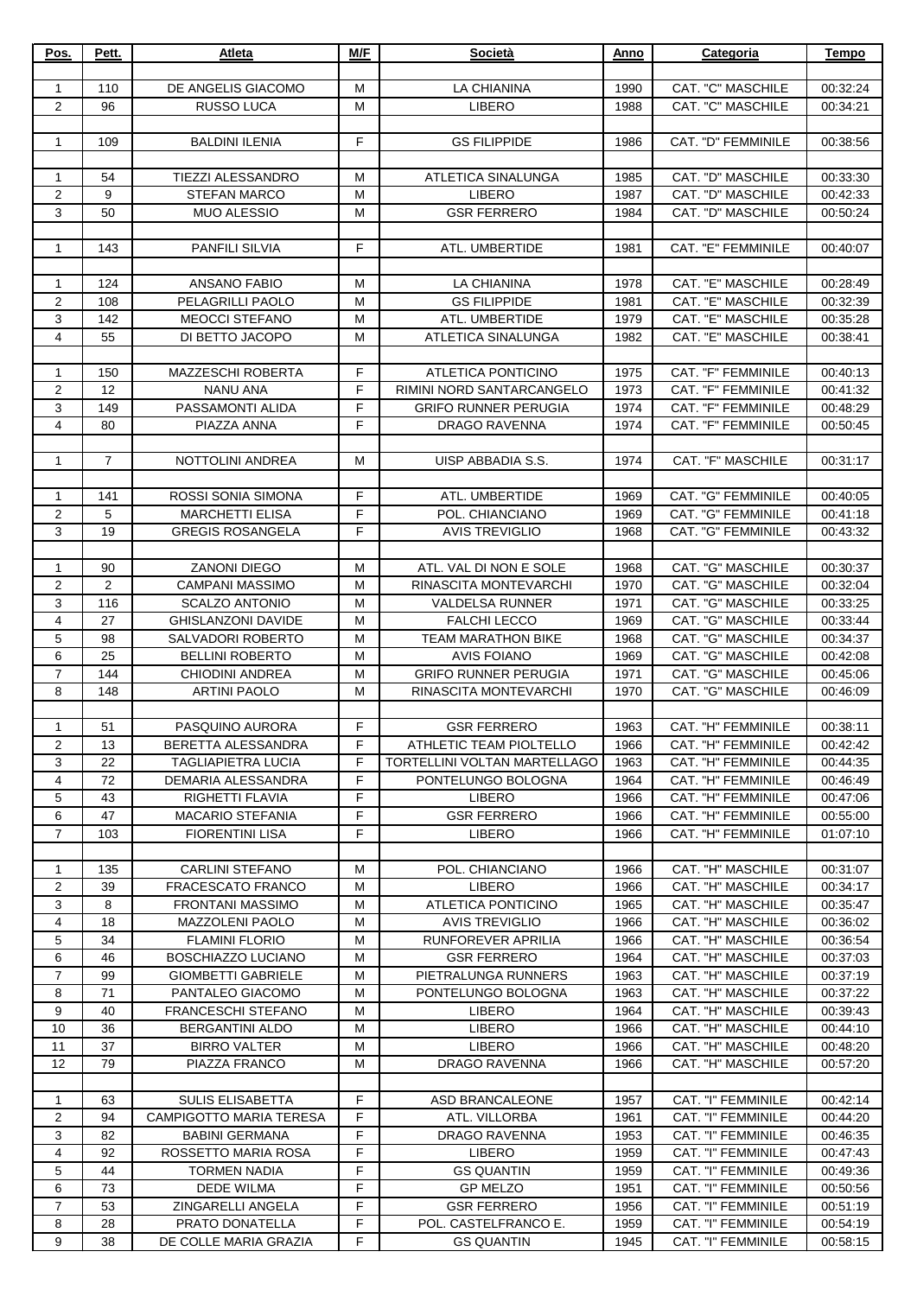| Pos.                | Pett.     | Atleta                                           | M/F         | Società                                           | Anno         | Categoria                              | Tempo                |
|---------------------|-----------|--------------------------------------------------|-------------|---------------------------------------------------|--------------|----------------------------------------|----------------------|
|                     |           |                                                  |             |                                                   |              |                                        |                      |
| 1                   | 110       | DE ANGELIS GIACOMO                               | M           | LA CHIANINA                                       | 1990         | CAT. "C" MASCHILE                      | 00:32:24             |
| 2                   | 96        | RUSSO LUCA                                       | M           | <b>LIBERO</b>                                     | 1988         | CAT. "C" MASCHILE                      | 00:34:21             |
| $\mathbf{1}$        | 109       | <b>BALDINI ILENIA</b>                            | $\mathsf F$ | <b>GS FILIPPIDE</b>                               | 1986         | CAT. "D" FEMMINILE                     | 00:38:56             |
|                     |           |                                                  |             |                                                   |              |                                        |                      |
| 1                   | 54        | TIEZZI ALESSANDRO                                | M           | ATLETICA SINALUNGA                                | 1985         | CAT. "D" MASCHILE                      | 00:33:30             |
| 2                   | 9         | <b>STEFAN MARCO</b>                              | M           | <b>LIBERO</b>                                     | 1987         | CAT. "D" MASCHILE                      | 00:42:33             |
| 3                   | 50        | <b>MUO ALESSIO</b>                               | M           | <b>GSR FERRERO</b>                                | 1984         | CAT. "D" MASCHILE                      | 00:50:24             |
|                     |           |                                                  |             |                                                   |              |                                        |                      |
| $\mathbf{1}$        | 143       | PANFILI SILVIA                                   | F           | ATL. UMBERTIDE                                    | 1981         | <b>CAT. "E" FEMMINILE</b>              | 00:40:07             |
| 1                   | 124       | ANSANO FABIO                                     | M           | LA CHIANINA                                       | 1978         | CAT. "E" MASCHILE                      | 00:28:49             |
| 2                   | 108       | PELAGRILLI PAOLO                                 | М           | <b>GS FILIPPIDE</b>                               | 1981         | CAT. "E" MASCHILE                      | 00:32:39             |
| 3                   | 142       | <b>MEOCCI STEFANO</b>                            | M           | ATL. UMBERTIDE                                    | 1979         | CAT. "E" MASCHILE                      | 00:35:28             |
| $\overline{4}$      | 55        | DI BETTO JACOPO                                  | M           | ATLETICA SINALUNGA                                | 1982         | CAT. "E" MASCHILE                      | 00:38:41             |
|                     |           |                                                  |             |                                                   |              |                                        |                      |
| $\mathbf{1}$        | 150       | <b>MAZZESCHI ROBERTA</b>                         | F           | <b>ATLETICA PONTICINO</b>                         | 1975         | CAT. "F" FEMMINILE                     | 00:40:13             |
| 2                   | 12        | <b>NANU ANA</b>                                  | $\mathsf F$ | RIMINI NORD SANTARCANGELO                         | 1973         | CAT. "F" FEMMINILE                     | 00:41:32             |
| 3                   | 149       | PASSAMONTI ALIDA                                 | F           | <b>GRIFO RUNNER PERUGIA</b>                       | 1974         | CAT. "F" FEMMINILE                     | 00:48:29             |
| $\overline{4}$      | 80        | PIAZZA ANNA                                      | F           | <b>DRAGO RAVENNA</b>                              | 1974         | <b>CAT. "F" FEMMINILE</b>              | 00:50:45             |
| $\mathbf{1}$        | 7         | NOTTOLINI ANDREA                                 | м           | UISP ABBADIA S.S.                                 | 1974         | CAT. "F" MASCHILE                      | 00:31:17             |
|                     |           |                                                  |             |                                                   |              |                                        |                      |
| $\mathbf{1}$        | 141       | ROSSI SONIA SIMONA                               | F           | ATL. UMBERTIDE                                    | 1969         | CAT. "G" FEMMINILE                     | 00:40:05             |
| $\overline{c}$      | 5         | <b>MARCHETTI ELISA</b>                           | $\mathsf F$ | POL. CHIANCIANO                                   | 1969         | CAT. "G" FEMMINILE                     | 00:41:18             |
| 3                   | 19        | <b>GREGIS ROSANGELA</b>                          | F.          | <b>AVIS TREVIGLIO</b>                             | 1968         | <b>CAT. "G" FEMMINILE</b>              | 00:43:32             |
|                     |           |                                                  |             |                                                   |              |                                        |                      |
| $\mathbf{1}$        | 90        | <b>ZANONI DIEGO</b>                              | M           | ATL. VAL DI NON E SOLE                            | 1968         | CAT. "G" MASCHILE                      | 00:30:37             |
| 2                   | 2         | <b>CAMPANI MASSIMO</b>                           | M           | RINASCITA MONTEVARCHI                             | 1970         | CAT. "G" MASCHILE                      | 00:32:04             |
| 3                   | 116       | <b>SCALZO ANTONIO</b>                            | M           | <b>VALDELSA RUNNER</b>                            | 1971         | CAT. "G" MASCHILE                      | 00:33:25             |
| 4                   | 27        | <b>GHISLANZONI DAVIDE</b>                        | M           | <b>FALCHI LECCO</b>                               | 1969         | CAT. "G" MASCHILE                      | 00:33:44             |
| 5                   | 98        | <b>SALVADORI ROBERTO</b>                         | M           | <b>TEAM MARATHON BIKE</b>                         | 1968         | CAT. "G" MASCHILE                      | 00:34:37             |
| 6<br>$\overline{7}$ | 25<br>144 | <b>BELLINI ROBERTO</b><br><b>CHIODINI ANDREA</b> | M<br>M      | <b>AVIS FOIANO</b><br><b>GRIFO RUNNER PERUGIA</b> | 1969<br>1971 | CAT. "G" MASCHILE<br>CAT. "G" MASCHILE | 00:42:08<br>00:45:06 |
| 8                   | 148       | <b>ARTINI PAOLO</b>                              | м           | RINASCITA MONTEVARCHI                             | 1970         | CAT. "G" MASCHILE                      | 00:46:09             |
|                     |           |                                                  |             |                                                   |              |                                        |                      |
| $\mathbf{1}$        | 51        | PASQUINO AURORA                                  | F.          | <b>GSR FERRERO</b>                                | 1963         | CAT. "H" FEMMINILE                     | 00:38:11             |
| 2                   | 13        | BERETTA ALESSANDRA                               | F           | ATHLETIC TEAM PIOLTELLO                           | 1966         | CAT. "H" FEMMINILE                     | 00:42:42             |
| 3                   | 22        | <b>TAGLIAPIETRA LUCIA</b>                        | F           | TORTELLINI VOLTAN MARTELLAGO                      | 1963         | CAT. "H" FEMMINILE                     | 00:44:35             |
| $\overline{4}$      | 72        | DEMARIA ALESSANDRA                               | F           | PONTELUNGO BOLOGNA                                | 1964         | CAT. "H" FEMMINILE                     | 00:46:49             |
| 5                   | 43        | RIGHETTI FLAVIA                                  | F           | <b>LIBERO</b>                                     | 1966         | CAT. "H" FEMMINILE                     | 00:47:06             |
| 6                   | 47        | <b>MACARIO STEFANIA</b>                          | $\mathsf F$ | <b>GSR FERRERO</b>                                | 1966         | CAT. "H" FEMMINILE                     | 00:55:00             |
| $\overline{7}$      | 103       | <b>FIORENTINI LISA</b>                           | F.          | <b>LIBERO</b>                                     | 1966         | CAT. "H" FEMMINILE                     | 01:07:10             |
|                     |           |                                                  |             |                                                   |              |                                        |                      |
| $\mathbf{1}$<br>2   | 135<br>39 | <b>CARLINI STEFANO</b><br>FRACESCATO FRANCO      | м<br>M      | POL. CHIANCIANO<br><b>LIBERO</b>                  | 1966<br>1966 | CAT. "H" MASCHILE<br>CAT. "H" MASCHILE | 00:31:07<br>00:34:17 |
| 3                   | 8         | FRONTANI MASSIMO                                 | м           | <b>ATLETICA PONTICINO</b>                         | 1965         | CAT. "H" MASCHILE                      | 00:35:47             |
| 4                   | 18        | MAZZOLENI PAOLO                                  | м           | <b>AVIS TREVIGLIO</b>                             | 1966         | CAT. "H" MASCHILE                      | 00:36:02             |
| 5                   | 34        | <b>FLAMINI FLORIO</b>                            | м           | RUNFOREVER APRILIA                                | 1966         | CAT. "H" MASCHILE                      | 00:36:54             |
| 6                   | 46        | BOSCHIAZZO LUCIANO                               | м           | <b>GSR FERRERO</b>                                | 1964         | CAT. "H" MASCHILE                      | 00:37:03             |
| $\overline{7}$      | 99        | <b>GIOMBETTI GABRIELE</b>                        | М           | PIETRALUNGA RUNNERS                               | 1963         | CAT. "H" MASCHILE                      | 00:37:19             |
| 8                   | 71        | PANTALEO GIACOMO                                 | М           | PONTELUNGO BOLOGNA                                | 1963         | CAT. "H" MASCHILE                      | 00:37:22             |
| 9                   | 40        | FRANCESCHI STEFANO                               | M           | LIBERO                                            | 1964         | CAT. "H" MASCHILE                      | 00:39:43             |
| 10                  | 36        | <b>BERGANTINI ALDO</b>                           | м           | <b>LIBERO</b>                                     | 1966         | CAT. "H" MASCHILE                      | 00:44:10             |
| 11                  | 37        | <b>BIRRO VALTER</b>                              | м           | LIBERO                                            | 1966         | CAT. "H" MASCHILE                      | 00:48:20             |
| 12                  | 79        | PIAZZA FRANCO                                    | M           | <b>DRAGO RAVENNA</b>                              | 1966         | CAT. "H" MASCHILE                      | 00:57:20             |
| $\mathbf{1}$        | 63        | <b>SULIS ELISABETTA</b>                          | F           | <b>ASD BRANCALEONE</b>                            | 1957         | CAT. "I" FEMMINILE                     | 00:42:14             |
| 2                   | 94        | <b>CAMPIGOTTO MARIA TERESA</b>                   | F           | ATL. VILLORBA                                     | 1961         | CAT. "I" FEMMINILE                     | 00:44:20             |
| 3                   | 82        | <b>BABINI GERMANA</b>                            | F           | DRAGO RAVENNA                                     | 1953         | CAT. "I" FEMMINILE                     | 00:46:35             |
| 4                   | 92        | ROSSETTO MARIA ROSA                              | F.          | <b>LIBERO</b>                                     | 1959         | CAT. "I" FEMMINILE                     | 00:47:43             |
| 5                   | 44        | TORMEN NADIA                                     | F           | <b>GS QUANTIN</b>                                 | 1959         | CAT. "I" FEMMINILE                     | 00:49:36             |
| 6                   | 73        | DEDE WILMA                                       | F           | <b>GP MELZO</b>                                   | 1951         | CAT. "I" FEMMINILE                     | 00:50:56             |
| $\overline{7}$      | 53        | ZINGARELLI ANGELA                                | F.          | <b>GSR FERRERO</b>                                | 1956         | CAT. "I" FEMMINILE                     | 00:51:19             |
| 8                   | 28        | PRATO DONATELLA                                  | F           | POL. CASTELFRANCO E.                              | 1959         | CAT. "I" FEMMINILE                     | 00:54:19             |
| 9                   | 38        | DE COLLE MARIA GRAZIA                            | F.          | <b>GS QUANTIN</b>                                 | 1945         | CAT. "I" FEMMINILE                     | 00:58:15             |